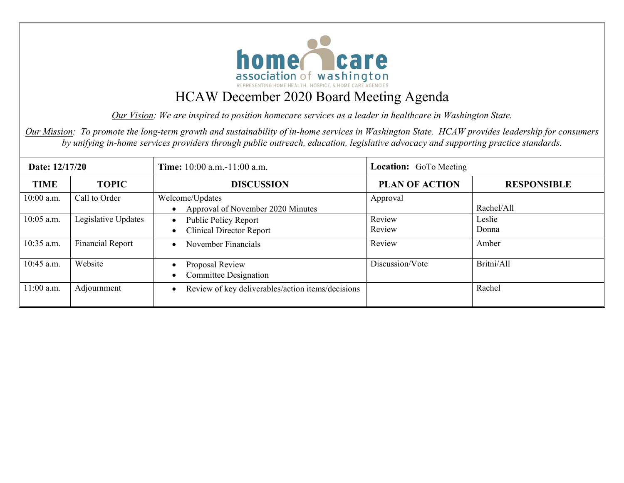

*Our Vision: We are inspired to position homecare services as a leader in healthcare in Washington State.* 

*Our Mission: To promote the long-term growth and sustainability of in-home services in Washington State. HCAW provides leadership for consumers by unifying in-home services providers through public outreach, education, legislative advocacy and supporting practice standards.*

| Date: 12/17/20 |                         | <b>Time:</b> $10:00$ a.m. $-11:00$ a.m.                                     | <b>Location:</b> GoTo Meeting |                    |  |
|----------------|-------------------------|-----------------------------------------------------------------------------|-------------------------------|--------------------|--|
| <b>TIME</b>    | <b>TOPIC</b>            | <b>DISCUSSION</b>                                                           | <b>PLAN OF ACTION</b>         | <b>RESPONSIBLE</b> |  |
| $10:00$ a.m.   | Call to Order           | Welcome/Updates<br>Approval of November 2020 Minutes                        | Approval                      | Rachel/All         |  |
| 10:05 a.m.     | Legislative Updates     | <b>Public Policy Report</b><br>$\bullet$<br><b>Clinical Director Report</b> | Review<br>Review              | Leslie<br>Donna    |  |
| 10:35 a.m.     | <b>Financial Report</b> | November Financials                                                         | Review                        | Amber              |  |
| 10:45 a.m.     | Website                 | Proposal Review<br><b>Committee Designation</b>                             | Discussion/Vote               | Britni/All         |  |
| 11:00 a.m.     | Adjournment             | Review of key deliverables/action items/decisions                           |                               | Rachel             |  |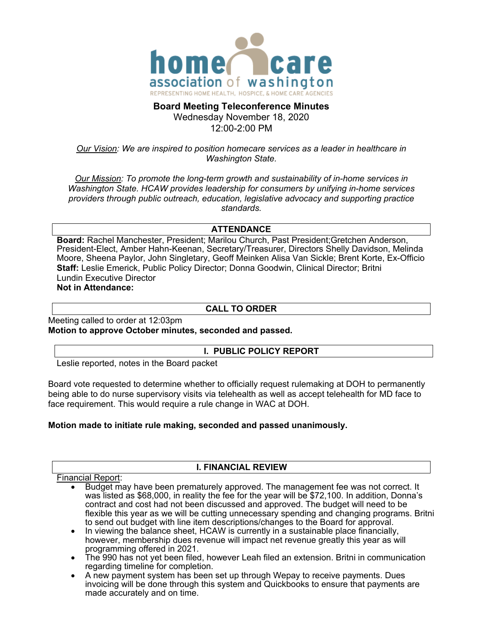

#### **Board Meeting Teleconference Minutes**  Wednesday November 18, 2020

12:00-2:00 PM

## *Our Vision: We are inspired to position homecare services as a leader in healthcare in Washington State.*

*Our Mission: To promote the long-term growth and sustainability of in-home services in Washington State. HCAW provides leadership for consumers by unifying in-home services providers through public outreach, education, legislative advocacy and supporting practice standards.*

## **ATTENDANCE**

**Board:** Rachel Manchester, President; Marilou Church, Past President;Gretchen Anderson, President-Elect, Amber Hahn-Keenan, Secretary/Treasurer, Directors Shelly Davidson, Melinda Moore, Sheena Paylor, John Singletary, Geoff Meinken Alisa Van Sickle; Brent Korte, Ex-Officio **Staff:** Leslie Emerick, Public Policy Director; Donna Goodwin, Clinical Director; Britni Lundin Executive Director **Not in Attendance:**

## **CALL TO ORDER**

Meeting called to order at 12:03pm **Motion to approve October minutes, seconded and passed.**

 **l. PUBLIC POLICY REPORT**

Leslie reported, notes in the Board packet

Board vote requested to determine whether to officially request rulemaking at DOH to permanently being able to do nurse supervisory visits via telehealth as well as accept telehealth for MD face to face requirement. This would require a rule change in WAC at DOH.

## **Motion made to initiate rule making, seconded and passed unanimously.**

## **I. FINANCIAL REVIEW**

Financial Report:

• Budget may have been prematurely approved. The management fee was not correct. It was listed as \$68,000, in reality the fee for the year will be \$72,100. In addition, Donna's contract and cost had not been discussed and approved. The budget will need to be flexible this year as we will be cutting unnecessary spending and changing programs. Britni to send out budget with line item descriptions/changes to the Board for approval.

• In viewing the balance sheet, HCAW is currently in a sustainable place financially, however, membership dues revenue will impact net revenue greatly this year as will programming offered in 2021.

- The 990 has not yet been filed, however Leah filed an extension. Britni in communication regarding timeline for completion.
- A new payment system has been set up through Wepay to receive payments. Dues invoicing will be done through this system and Quickbooks to ensure that payments are made accurately and on time.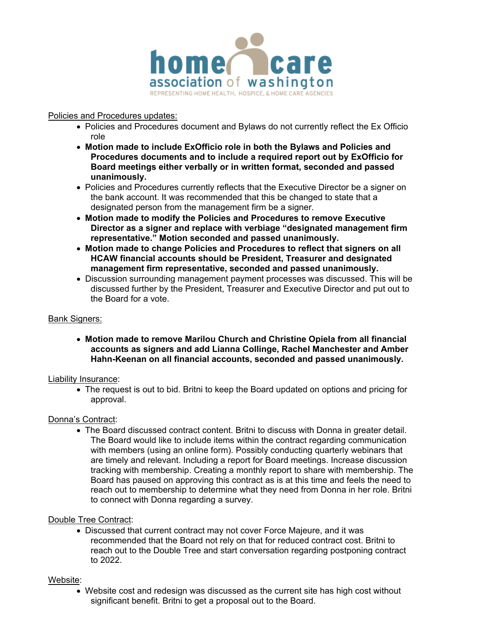

## Policies and Procedures updates:

- Policies and Procedures document and Bylaws do not currently reflect the Ex Officio role
- **Motion made to include ExOfficio role in both the Bylaws and Policies and Procedures documents and to include a required report out by ExOfficio for Board meetings either verbally or in written format, seconded and passed unanimously.**
- Policies and Procedures currently reflects that the Executive Director be a signer on the bank account. It was recommended that this be changed to state that a designated person from the management firm be a signer.
- **Motion made to modify the Policies and Procedures to remove Executive Director as a signer and replace with verbiage "designated management firm representative." Motion seconded and passed unanimously.**
- **Motion made to change Policies and Procedures to reflect that signers on all HCAW financial accounts should be President, Treasurer and designated management firm representative, seconded and passed unanimously.**
- Discussion surrounding management payment processes was discussed. This will be discussed further by the President, Treasurer and Executive Director and put out to the Board for a vote.

## Bank Signers:

• **Motion made to remove Marilou Church and Christine Opiela from all financial accounts as signers and add Lianna Collinge, Rachel Manchester and Amber Hahn-Keenan on all financial accounts, seconded and passed unanimously.**

#### Liability Insurance:

• The request is out to bid. Britni to keep the Board updated on options and pricing for approval.

## Donna's Contract:

• The Board discussed contract content. Britni to discuss with Donna in greater detail. The Board would like to include items within the contract regarding communication with members (using an online form). Possibly conducting quarterly webinars that are timely and relevant. Including a report for Board meetings. Increase discussion tracking with membership. Creating a monthly report to share with membership. The Board has paused on approving this contract as is at this time and feels the need to reach out to membership to determine what they need from Donna in her role. Britni to connect with Donna regarding a survey.

## Double Tree Contract:

• Discussed that current contract may not cover Force Majeure, and it was recommended that the Board not rely on that for reduced contract cost. Britni to reach out to the Double Tree and start conversation regarding postponing contract to 2022.

#### Website:

• Website cost and redesign was discussed as the current site has high cost without significant benefit. Britni to get a proposal out to the Board.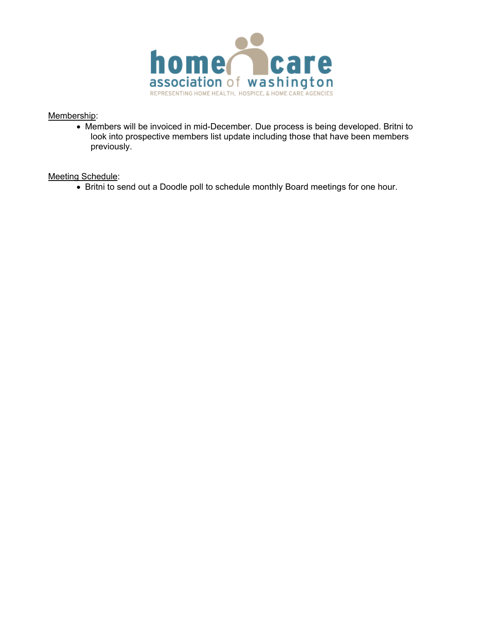

#### Membership:

• Members will be invoiced in mid-December. Due process is being developed. Britni to look into prospective members list update including those that have been members previously.

#### Meeting Schedule:

• Britni to send out a Doodle poll to schedule monthly Board meetings for one hour.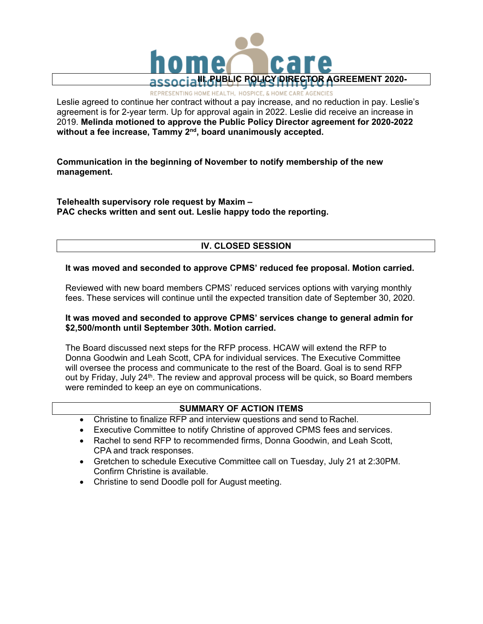

REPRESENTING HOME HEALTH, HOSPICE, & HOME CARE AGENCIES

Leslie agreed to continue her contract without a pay increase, and no reduction in pay. Leslie's agreement is for 2-year term. Up for approval again in 2022. Leslie did receive an increase in 2019. **Melinda motioned to approve the Public Policy Director agreement for 2020-2022**  without a fee increase, Tammy 2<sup>nd</sup>, board unanimously accepted.

**Communication in the beginning of November to notify membership of the new management.** 

**Telehealth supervisory role request by Maxim – PAC checks written and sent out. Leslie happy todo the reporting.**

## **IV. CLOSED SESSION**

#### **It was moved and seconded to approve CPMS' reduced fee proposal. Motion carried.**

Reviewed with new board members CPMS' reduced services options with varying monthly fees. These services will continue until the expected transition date of September 30, 2020.

#### **It was moved and seconded to approve CPMS' services change to general admin for \$2,500/month until September 30th. Motion carried.**

The Board discussed next steps for the RFP process. HCAW will extend the RFP to Donna Goodwin and Leah Scott, CPA for individual services. The Executive Committee will oversee the process and communicate to the rest of the Board. Goal is to send RFP out by Friday, July 24<sup>th</sup>. The review and approval process will be quick, so Board members were reminded to keep an eye on communications.

## **SUMMARY OF ACTION ITEMS**

- Christine to finalize RFP and interview questions and send to Rachel.
- Executive Committee to notify Christine of approved CPMS fees and services.
- Rachel to send RFP to recommended firms, Donna Goodwin, and Leah Scott, CPA and track responses.
- Gretchen to schedule Executive Committee call on Tuesday, July 21 at 2:30PM. Confirm Christine is available.
- Christine to send Doodle poll for August meeting.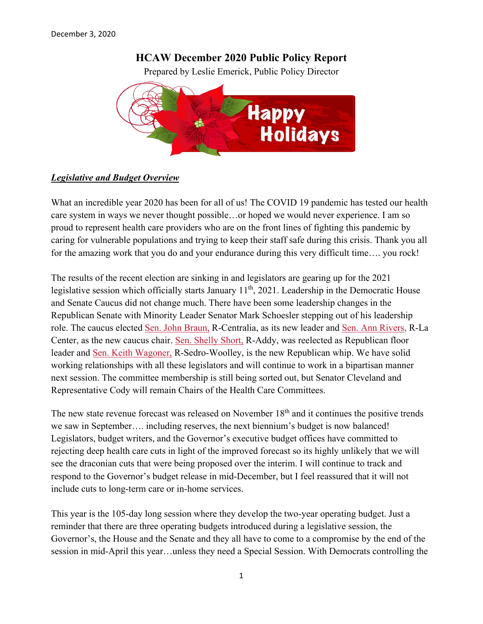## **HCAW December 2020 Public Policy Report**

Prepared by Leslie Emerick, Public Policy Director



## *Legislative and Budget Overview*

What an incredible year 2020 has been for all of us! The COVID 19 pandemic has tested our health care system in ways we never thought possible…or hoped we would never experience. I am so proud to represent health care providers who are on the front lines of fighting this pandemic by caring for vulnerable populations and trying to keep their staff safe during this crisis. Thank you all for the amazing work that you do and your endurance during this very difficult time…. you rock!

The results of the recent election are sinking in and legislators are gearing up for the 2021 legislative session which officially starts January 11<sup>th</sup>, 2021. Leadership in the Democratic House and Senate Caucus did not change much. There have been some leadership changes in the Republican Senate with Minority Leader Senator Mark Schoesler stepping out of his leadership role. The caucus elected Sen. John [Braun,](https://johnbraun.src.wastateleg.org/about/) R-Centralia, as its new leader and Sen. Ann [Rivers,](https://annrivers.src.wastateleg.org/about-ann/) R-La Center, as the new caucus chair. Sen. [Shelly](https://shellyshort.src.wastateleg.org/) Short, R-Addy, was reelected as Republican floor leader and Sen. Keith [Wagoner,](https://keithwagoner.src.wastateleg.org/) R-Sedro-Woolley, is the new Republican whip. We have solid working relationships with all these legislators and will continue to work in a bipartisan manner next session. The committee membership is still being sorted out, but Senator Cleveland and Representative Cody will remain Chairs of the Health Care Committees.

The new state revenue forecast was released on November  $18<sup>th</sup>$  and it continues the positive trends we saw in September…. including reserves, the next biennium's budget is now balanced! Legislators, budget writers, and the Governor's executive budget offices have committed to rejecting deep health care cuts in light of the improved forecast so its highly unlikely that we will see the draconian cuts that were being proposed over the interim. I will continue to track and respond to the Governor's budget release in mid-December, but I feel reassured that it will not include cuts to long-term care or in-home services.

This year is the 105-day long session where they develop the two-year operating budget. Just a reminder that there are three operating budgets introduced during a legislative session, the Governor's, the House and the Senate and they all have to come to a compromise by the end of the session in mid-April this year…unless they need a Special Session. With Democrats controlling the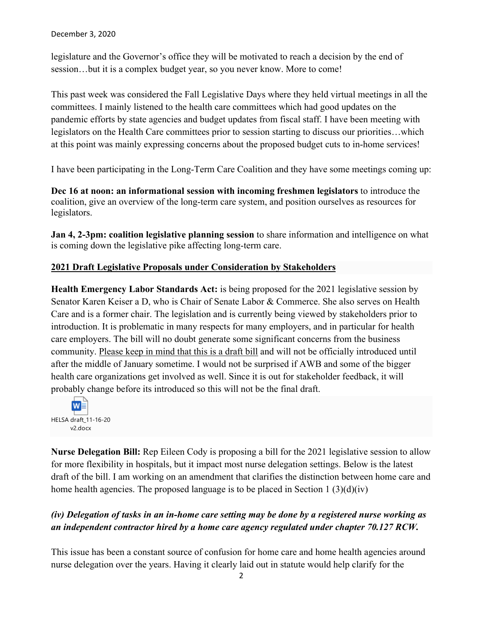legislature and the Governor's office they will be motivated to reach a decision by the end of session…but it is a complex budget year, so you never know. More to come!

This past week was considered the Fall Legislative Days where they held virtual meetings in all the committees. I mainly listened to the health care committees which had good updates on the pandemic efforts by state agencies and budget updates from fiscal staff. I have been meeting with legislators on the Health Care committees prior to session starting to discuss our priorities…which at this point was mainly expressing concerns about the proposed budget cuts to in-home services!

I have been participating in the Long-Term Care Coalition and they have some meetings coming up:

**Dec 16 at noon: an informational session with incoming freshmen legislators** to introduce the coalition, give an overview of the long-term care system, and position ourselves as resources for legislators.

**Jan 4, 2-3pm: coalition legislative planning session** to share information and intelligence on what is coming down the legislative pike affecting long-term care.

## **2021 Draft Legislative Proposals under Consideration by Stakeholders**

**Health Emergency Labor Standards Act:** is being proposed for the 2021 legislative session by Senator Karen Keiser a D, who is Chair of Senate Labor & Commerce. She also serves on Health Care and is a former chair. The legislation and is currently being viewed by stakeholders prior to introduction. It is problematic in many respects for many employers, and in particular for health care employers. The bill will no doubt generate some significant concerns from the business community. Please keep in mind that this is a draft bill and will not be officially introduced until after the middle of January sometime. I would not be surprised if AWB and some of the bigger health care organizations get involved as well. Since it is out for stakeholder feedback, it will probably change before its introduced so this will not be the final draft.



**Nurse Delegation Bill:** Rep Eileen Cody is proposing a bill for the 2021 legislative session to allow for more flexibility in hospitals, but it impact most nurse delegation settings. Below is the latest draft of the bill. I am working on an amendment that clarifies the distinction between home care and home health agencies. The proposed language is to be placed in Section 1 (3)(d)(iv)

## *(iv) Delegation of tasks in an in-home care setting may be done by a registered nurse working as an independent contractor hired by a home care agency regulated under chapter 70.127 RCW.*

This issue has been a constant source of confusion for home care and home health agencies around nurse delegation over the years. Having it clearly laid out in statute would help clarify for the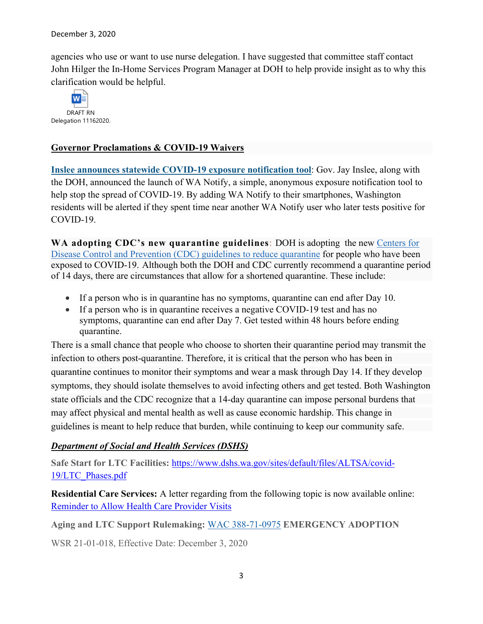agencies who use or want to use nurse delegation. I have suggested that committee staff contact John Hilger the In-Home Services Program Manager at DOH to help provide insight as to why this clarification would be helpful.



## **Governor Proclamations & COVID-19 Waivers**

**[Inslee announces statewide COVID-19 exposure notification tool](https://medium.com/wagovernor/inslee-announces-statewide-covid-19-exposure-notification-tool-34b5740aa02)**: Gov. Jay Inslee, along with the DOH, announced the launch of WA Notify, a simple, anonymous exposure notification tool to help stop the spread of COVID-19. By adding WA Notify to their smartphones, Washington residents will be alerted if they spent time near another WA Notify user who later tests positive for COVID-19.

**WA adopting CDC's new quarantine guidelines**: DOH is adopting the new [Centers for](https://gcc02.safelinks.protection.outlook.com/?url=https%3A%2F%2Flnks.gd%2Fl%2FeyJhbGciOiJIUzI1NiJ9.eyJidWxsZXRpbl9saW5rX2lkIjoxMDEsInVyaSI6ImJwMjpjbGljayIsImJ1bGxldGluX2lkIjoiMjAyMDEyMDMuMzE1MjY5ODEiLCJ1cmwiOiJodHRwczovL3d3dy5jZGMuZ292L2Nvcm9uYXZpcnVzLzIwMTktbmNvdi9tb3JlL3NjaWVudGlmaWMtYnJpZWYtb3B0aW9ucy10by1yZWR1Y2UtcXVhcmFudGluZS5odG1sIn0.CY-DiuCgNm7Zz5_mC6XNRPKKmTIiPr1yg2Pn7hrG_zk%2Fs%2F1121157781%2Fbr%2F91060700555-l&data=04%7C01%7CSteven.friederich%40mil.wa.gov%7C77227d6585f346bd173608d897c3eb7d%7C11d0e217264e400a8ba057dcc127d72d%7C0%7C0%7C637426215016707321%7CUnknown%7CTWFpbGZsb3d8eyJWIjoiMC4wLjAwMDAiLCJQIjoiV2luMzIiLCJBTiI6Ik1haWwiLCJXVCI6Mn0%3D%7C1000&sdata=cZ73hNPpcVFrwaqAQZxrt%2Bt9f43g66hpiiHs4GCeWvQ%3D&reserved=0)  [Disease Control and Prevention \(CDC\) guidelines to reduce quarantine](https://gcc02.safelinks.protection.outlook.com/?url=https%3A%2F%2Flnks.gd%2Fl%2FeyJhbGciOiJIUzI1NiJ9.eyJidWxsZXRpbl9saW5rX2lkIjoxMDEsInVyaSI6ImJwMjpjbGljayIsImJ1bGxldGluX2lkIjoiMjAyMDEyMDMuMzE1MjY5ODEiLCJ1cmwiOiJodHRwczovL3d3dy5jZGMuZ292L2Nvcm9uYXZpcnVzLzIwMTktbmNvdi9tb3JlL3NjaWVudGlmaWMtYnJpZWYtb3B0aW9ucy10by1yZWR1Y2UtcXVhcmFudGluZS5odG1sIn0.CY-DiuCgNm7Zz5_mC6XNRPKKmTIiPr1yg2Pn7hrG_zk%2Fs%2F1121157781%2Fbr%2F91060700555-l&data=04%7C01%7CSteven.friederich%40mil.wa.gov%7C77227d6585f346bd173608d897c3eb7d%7C11d0e217264e400a8ba057dcc127d72d%7C0%7C0%7C637426215016707321%7CUnknown%7CTWFpbGZsb3d8eyJWIjoiMC4wLjAwMDAiLCJQIjoiV2luMzIiLCJBTiI6Ik1haWwiLCJXVCI6Mn0%3D%7C1000&sdata=cZ73hNPpcVFrwaqAQZxrt%2Bt9f43g66hpiiHs4GCeWvQ%3D&reserved=0) for people who have been exposed to COVID-19. Although both the DOH and CDC currently recommend a quarantine period of 14 days, there are circumstances that allow for a shortened quarantine. These include:

- If a person who is in quarantine has no symptoms, quarantine can end after Day 10.
- If a person who is in quarantine receives a negative COVID-19 test and has no symptoms, quarantine can end after Day 7. Get tested within 48 hours before ending quarantine.

There is a small chance that people who choose to shorten their quarantine period may transmit the infection to others post-quarantine. Therefore, it is critical that the person who has been in quarantine continues to monitor their symptoms and wear a mask through Day 14. If they develop symptoms, they should isolate themselves to avoid infecting others and get tested. Both Washington state officials and the CDC recognize that a 14-day quarantine can impose personal burdens that may affect physical and mental health as well as cause economic hardship. This change in guidelines is meant to help reduce that burden, while continuing to keep our community safe.

## *Department of Social and Health Services (DSHS)*

**Safe Start for LTC Facilities:** [https://www.dshs.wa.gov/sites/default/files/ALTSA/covid-](https://www.dshs.wa.gov/sites/default/files/ALTSA/covid-19/LTC_Phases.pdf)[19/LTC\\_Phases.pdf](https://www.dshs.wa.gov/sites/default/files/ALTSA/covid-19/LTC_Phases.pdf)

**Residential Care Services:** A letter regarding from the following topic is now available online: [Reminder to Allow Health Care Provider Visits](https://lnks.gd/l/eyJhbGciOiJIUzI1NiJ9.eyJidWxsZXRpbl9saW5rX2lkIjoxMDEsInVyaSI6ImJwMjpjbGljayIsImJ1bGxldGluX2lkIjoiMjAyMDExMTkuMzA3OTUzMDEiLCJ1cmwiOiJodHRwczovL3d3dy5kc2hzLndhLmdvdi9zaXRlcy9kZWZhdWx0L2ZpbGVzL0FMVFNBL3Jjcy9kb2N1bWVudHMvbXVsdGlwbGUvMDIwLTExLTE4LnBkZj91dG1fbWVkaXVtPWVtYWlsJnV0bV9zb3VyY2U9Z292ZGVsaXZlcnkifQ.l_rcWeXi9u3UoBjUSgPPeHLHajcUCakFvJ2Ld2Y7ftc/s/763120867/br/90132364680-l)

**Aging and LTC Support Rulemaking:** [WAC 388-71-0975](https://www.dshs.wa.gov/sites/default/files/rpau/documents/103E-21-01-0118.pdf) **EMERGENCY ADOPTION**

WSR 21-01-018, Effective Date: December 3, 2020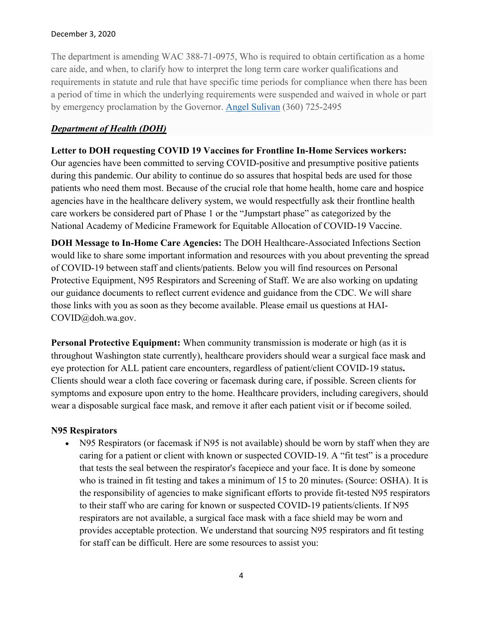#### December 3, 2020

The department is amending WAC 388-71-0975, Who is required to obtain certification as a home care aide, and when, to clarify how to interpret the long term care worker qualifications and requirements in statute and rule that have specific time periods for compliance when there has been a period of time in which the underlying requirements were suspended and waived in whole or part by emergency proclamation by the Governor. [Angel Sulivan](mailto:angel.sulivan@dshs.wa.gov) (360) 725-2495

## *Department of Health (DOH)*

## **Letter to DOH requesting COVID 19 Vaccines for Frontline In-Home Services workers:**

Our agencies have been committed to serving COVID-positive and presumptive positive patients during this pandemic. Our ability to continue do so assures that hospital beds are used for those patients who need them most. Because of the crucial role that home health, home care and hospice agencies have in the healthcare delivery system, we would respectfully ask their frontline health care workers be considered part of Phase 1 or the "Jumpstart phase" as categorized by the National Academy of Medicine Framework for Equitable Allocation of COVID-19 Vaccine.

**DOH Message to In-Home Care Agencies:** The DOH Healthcare-Associated Infections Section would like to share some important information and resources with you about preventing the spread of COVID-19 between staff and clients/patients. Below you will find resources on Personal Protective Equipment, N95 Respirators and Screening of Staff. We are also working on updating our guidance documents to reflect current evidence and guidance from the CDC. We will share those links with you as soon as they become available. Please email us questions at HAI-COVID@doh.wa.gov.

**Personal Protective Equipment:** When community transmission is moderate or high (as it is throughout Washington state currently), healthcare providers should wear a surgical face mask and eye protection for ALL patient care encounters, regardless of patient/client COVID-19 status**.** Clients should wear a cloth face covering or facemask during care, if possible. Screen clients for symptoms and exposure upon entry to the home. Healthcare providers, including caregivers, should wear a disposable surgical face mask, and remove it after each patient visit or if become soiled.

## **N95 Respirators**

• N95 Respirators (or facemask if N95 is not available) should be worn by staff when they are caring for a patient or client with known or suspected COVID-19. A "fit test" is a procedure that tests the seal between the respirator's facepiece and your face. It is done by someone who is trained in fit testing and takes a minimum of 15 to 20 minutes. (Source: OSHA). It is the responsibility of agencies to make significant efforts to provide fit-tested N95 respirators to their staff who are caring for known or suspected COVID-19 patients/clients. If N95 respirators are not available, a surgical face mask with a face shield may be worn and provides acceptable protection. We understand that sourcing N95 respirators and fit testing for staff can be difficult. Here are some resources to assist you: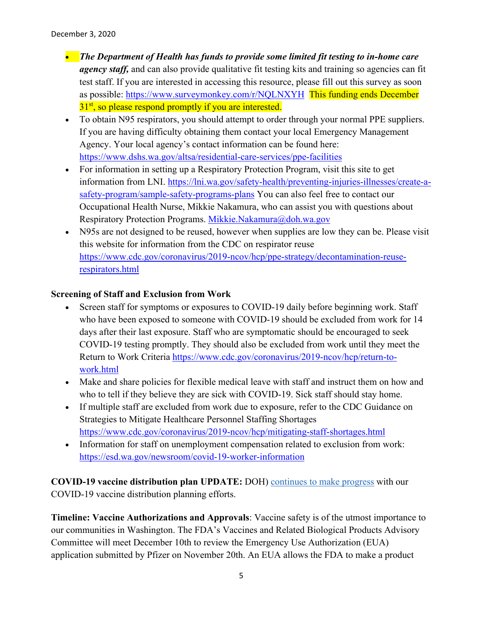- *The Department of Health has funds to provide some limited fit testing to in-home care agency staff,* and can also provide qualitative fit testing kits and training so agencies can fit test staff. If you are interested in accessing this resource, please fill out this survey as soon as possible: [https://www.surveymonkey.com/r/NQLNXYH](https://lnks.gd/l/eyJhbGciOiJIUzI1NiJ9.eyJidWxsZXRpbl9saW5rX2lkIjoxMDAsInVyaSI6ImJwMjpjbGljayIsImJ1bGxldGluX2lkIjoiMjAyMDEyMDEuMzEzOTc2NDEiLCJ1cmwiOiJodHRwczovL3d3dy5zdXJ2ZXltb25rZXkuY29tL3IvTlFMTlhZSCJ9.HadI30dld-uhntayzzshGTkN8uS_b3v0M7l9feKquIo/s/721751668/br/90859656947-l) This funding ends December 31<sup>st</sup>, so please respond promptly if you are interested.
- To obtain N95 respirators, you should attempt to order through your normal PPE suppliers. If you are having difficulty obtaining them contact your local Emergency Management Agency. Your local agency's contact information can be found here: [https://www.dshs.wa.gov/altsa/residential-care-services/ppe-facilities](https://lnks.gd/l/eyJhbGciOiJIUzI1NiJ9.eyJidWxsZXRpbl9saW5rX2lkIjoxMDEsInVyaSI6ImJwMjpjbGljayIsImJ1bGxldGluX2lkIjoiMjAyMDEyMDEuMzEzOTc2NDEiLCJ1cmwiOiJodHRwczovL3d3dy5kc2hzLndhLmdvdi9hbHRzYS9yZXNpZGVudGlhbC1jYXJlLXNlcnZpY2VzL3BwZS1mYWNpbGl0aWVzIn0.Yh1AwjcxkWvXyiRArq6KL-hilmIGSl2oWyRUkAYEp2E/s/721751668/br/90859656947-l)
- For information in setting up a Respiratory Protection Program, visit this site to get information from LNI. [https://lni.wa.gov/safety-health/preventing-injuries-illnesses/create-a](https://lnks.gd/l/eyJhbGciOiJIUzI1NiJ9.eyJidWxsZXRpbl9saW5rX2lkIjoxMDIsInVyaSI6ImJwMjpjbGljayIsImJ1bGxldGluX2lkIjoiMjAyMDEyMDEuMzEzOTc2NDEiLCJ1cmwiOiJodHRwczovL2xuaS53YS5nb3Yvc2FmZXR5LWhlYWx0aC9wcmV2ZW50aW5nLWluanVyaWVzLWlsbG5lc3Nlcy9jcmVhdGUtYS1zYWZldHktcHJvZ3JhbS9zYW1wbGUtc2FmZXR5LXByb2dyYW1zLXBsYW5zIn0.nVrYBtmUX0kR3GOSD_KrpShKfYd_HCwR6L-Hii8EiVI/s/721751668/br/90859656947-l)[safety-program/sample-safety-programs-plans](https://lnks.gd/l/eyJhbGciOiJIUzI1NiJ9.eyJidWxsZXRpbl9saW5rX2lkIjoxMDIsInVyaSI6ImJwMjpjbGljayIsImJ1bGxldGluX2lkIjoiMjAyMDEyMDEuMzEzOTc2NDEiLCJ1cmwiOiJodHRwczovL2xuaS53YS5nb3Yvc2FmZXR5LWhlYWx0aC9wcmV2ZW50aW5nLWluanVyaWVzLWlsbG5lc3Nlcy9jcmVhdGUtYS1zYWZldHktcHJvZ3JhbS9zYW1wbGUtc2FmZXR5LXByb2dyYW1zLXBsYW5zIn0.nVrYBtmUX0kR3GOSD_KrpShKfYd_HCwR6L-Hii8EiVI/s/721751668/br/90859656947-l) You can also feel free to contact our Occupational Health Nurse, Mikkie Nakamura, who can assist you with questions about Respiratory Protection Programs. [Mikkie.Nakamura@doh.wa.gov](mailto:Mikkie.Nakamura@doh.wa.gov)
- N95s are not designed to be reused, however when supplies are low they can be. Please visit this website for information from the CDC on respirator reuse [https://www.cdc.gov/coronavirus/2019-ncov/hcp/ppe-strategy/decontamination-reuse](https://lnks.gd/l/eyJhbGciOiJIUzI1NiJ9.eyJidWxsZXRpbl9saW5rX2lkIjoxMDMsInVyaSI6ImJwMjpjbGljayIsImJ1bGxldGluX2lkIjoiMjAyMDEyMDEuMzEzOTc2NDEiLCJ1cmwiOiJodHRwczovL3d3dy5jZGMuZ292L2Nvcm9uYXZpcnVzLzIwMTktbmNvdi9oY3AvcHBlLXN0cmF0ZWd5L2RlY29udGFtaW5hdGlvbi1yZXVzZS1yZXNwaXJhdG9ycy5odG1sIn0.S7RPkpnykjl_688xHHgcuem3gbyrZ_OCbieW-PEWBc0/s/721751668/br/90859656947-l)[respirators.html](https://lnks.gd/l/eyJhbGciOiJIUzI1NiJ9.eyJidWxsZXRpbl9saW5rX2lkIjoxMDMsInVyaSI6ImJwMjpjbGljayIsImJ1bGxldGluX2lkIjoiMjAyMDEyMDEuMzEzOTc2NDEiLCJ1cmwiOiJodHRwczovL3d3dy5jZGMuZ292L2Nvcm9uYXZpcnVzLzIwMTktbmNvdi9oY3AvcHBlLXN0cmF0ZWd5L2RlY29udGFtaW5hdGlvbi1yZXVzZS1yZXNwaXJhdG9ycy5odG1sIn0.S7RPkpnykjl_688xHHgcuem3gbyrZ_OCbieW-PEWBc0/s/721751668/br/90859656947-l)

## **Screening of Staff and Exclusion from Work**

- Screen staff for symptoms or exposures to COVID-19 daily before beginning work. Staff who have been exposed to someone with COVID-19 should be excluded from work for 14 days after their last exposure. Staff who are symptomatic should be encouraged to seek COVID-19 testing promptly. They should also be excluded from work until they meet the Return to Work Criteria [https://www.cdc.gov/coronavirus/2019-ncov/hcp/return-to](https://lnks.gd/l/eyJhbGciOiJIUzI1NiJ9.eyJidWxsZXRpbl9saW5rX2lkIjoxMDQsInVyaSI6ImJwMjpjbGljayIsImJ1bGxldGluX2lkIjoiMjAyMDEyMDEuMzEzOTc2NDEiLCJ1cmwiOiJodHRwczovL3d3dy5jZGMuZ292L2Nvcm9uYXZpcnVzLzIwMTktbmNvdi9oY3AvcmV0dXJuLXRvLXdvcmsuaHRtbCJ9.Cx7sYuEm3Az7mwR00nT6OXq2i7gJtRvl9HpEvKPbGaA/s/721751668/br/90859656947-l)[work.html](https://lnks.gd/l/eyJhbGciOiJIUzI1NiJ9.eyJidWxsZXRpbl9saW5rX2lkIjoxMDQsInVyaSI6ImJwMjpjbGljayIsImJ1bGxldGluX2lkIjoiMjAyMDEyMDEuMzEzOTc2NDEiLCJ1cmwiOiJodHRwczovL3d3dy5jZGMuZ292L2Nvcm9uYXZpcnVzLzIwMTktbmNvdi9oY3AvcmV0dXJuLXRvLXdvcmsuaHRtbCJ9.Cx7sYuEm3Az7mwR00nT6OXq2i7gJtRvl9HpEvKPbGaA/s/721751668/br/90859656947-l)
- Make and share policies for flexible medical leave with staff and instruct them on how and who to tell if they believe they are sick with COVID-19. Sick staff should stay home.
- If multiple staff are excluded from work due to exposure, refer to the CDC Guidance on Strategies to Mitigate Healthcare Personnel Staffing Shortages [https://www.cdc.gov/coronavirus/2019-ncov/hcp/mitigating-staff-shortages.html](https://lnks.gd/l/eyJhbGciOiJIUzI1NiJ9.eyJidWxsZXRpbl9saW5rX2lkIjoxMDUsInVyaSI6ImJwMjpjbGljayIsImJ1bGxldGluX2lkIjoiMjAyMDEyMDEuMzEzOTc2NDEiLCJ1cmwiOiJodHRwczovL3d3dy5jZGMuZ292L2Nvcm9uYXZpcnVzLzIwMTktbmNvdi9oY3AvbWl0aWdhdGluZy1zdGFmZi1zaG9ydGFnZXMuaHRtbCJ9.QXKCJjgwHDh8AkS9p26kYAqWc9FH5CGD2cax9O2PkNo/s/721751668/br/90859656947-l)
- Information for staff on unemployment compensation related to exclusion from work: [https://esd.wa.gov/newsroom/covid-19-worker-information](https://lnks.gd/l/eyJhbGciOiJIUzI1NiJ9.eyJidWxsZXRpbl9saW5rX2lkIjoxMDYsInVyaSI6ImJwMjpjbGljayIsImJ1bGxldGluX2lkIjoiMjAyMDEyMDEuMzEzOTc2NDEiLCJ1cmwiOiJodHRwczovL2VzZC53YS5nb3YvbmV3c3Jvb20vY292aWQtMTktd29ya2VyLWluZm9ybWF0aW9uIn0.L2woz6-YEaMPJCeQdVJVM-gah2aTUCP1iL_5y6Jfty4/s/721751668/br/90859656947-l)

**COVID-19 vaccine distribution plan UPDATE:** DOH) [continues to make progress](https://lnks.gd/l/eyJhbGciOiJIUzI1NiJ9.eyJidWxsZXRpbl9saW5rX2lkIjoxMDEsInVyaSI6ImJwMjpjbGljayIsImJ1bGxldGluX2lkIjoiMjAyMDEyMDMuMzE1MzMzMDEiLCJ1cmwiOiJodHRwczovL3d3dy50dncub3JnL3dhdGNoLz9jbGllbnRJRD05Mzc1OTIyOTQ3JmV2ZW50SUQ9MjAyMDEyMTA1MCJ9.GiDJQFNIWmCO1CbMas2FwwbQiMcsElIKoFR_e2kZVNs/s/717258116/br/91065953163-l) with our COVID-19 vaccine distribution planning efforts.

**Timeline: Vaccine Authorizations and Approvals**: Vaccine safety is of the utmost importance to our communities in Washington. The FDA's Vaccines and Related Biological Products Advisory Committee will meet December 10th to review the Emergency Use Authorization (EUA) application submitted by Pfizer on November 20th. An EUA allows the FDA to make a product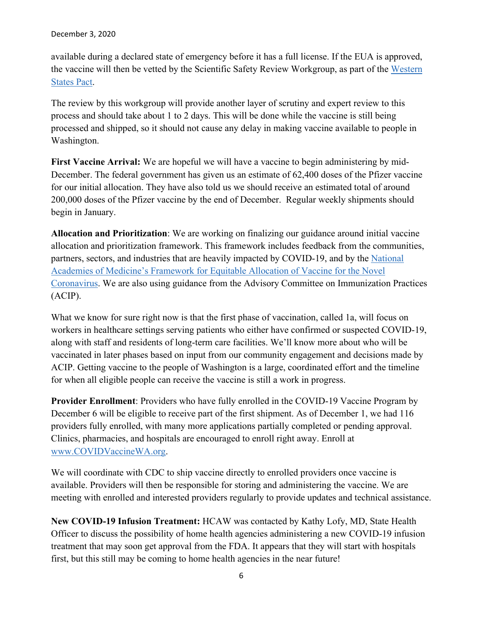available during a declared state of emergency before it has a full license. If the EUA is approved, the vaccine will then be vetted by the Scientific Safety Review Workgroup, as part of the [Western](https://lnks.gd/l/eyJhbGciOiJIUzI1NiJ9.eyJidWxsZXRpbl9saW5rX2lkIjoxMDIsInVyaSI6ImJwMjpjbGljayIsImJ1bGxldGluX2lkIjoiMjAyMDEyMDMuMzE1MzMzMDEiLCJ1cmwiOiJodHRwczovL3d3dy5nb3Zlcm5vci53YS5nb3YvbmV3cy1tZWRpYS9pbnNsZWUtYXBwb2ludHMtcmVwcmVzZW50YXRpdmVzLW11bHRpLXN0YXRlLWNvdmlkLXZhY2NpbmUtd29ya2dyb3VwIn0.YXfqMhvIDI75PAIA4mHcAoZ6V9qDbM_y0kvSQHPr_Fk/s/717258116/br/91065953163-l)  [States Pact.](https://lnks.gd/l/eyJhbGciOiJIUzI1NiJ9.eyJidWxsZXRpbl9saW5rX2lkIjoxMDIsInVyaSI6ImJwMjpjbGljayIsImJ1bGxldGluX2lkIjoiMjAyMDEyMDMuMzE1MzMzMDEiLCJ1cmwiOiJodHRwczovL3d3dy5nb3Zlcm5vci53YS5nb3YvbmV3cy1tZWRpYS9pbnNsZWUtYXBwb2ludHMtcmVwcmVzZW50YXRpdmVzLW11bHRpLXN0YXRlLWNvdmlkLXZhY2NpbmUtd29ya2dyb3VwIn0.YXfqMhvIDI75PAIA4mHcAoZ6V9qDbM_y0kvSQHPr_Fk/s/717258116/br/91065953163-l)

The review by this workgroup will provide another layer of scrutiny and expert review to this process and should take about 1 to 2 days. This will be done while the vaccine is still being processed and shipped, so it should not cause any delay in making vaccine available to people in Washington.

**First Vaccine Arrival:** We are hopeful we will have a vaccine to begin administering by mid-December. The federal government has given us an estimate of 62,400 doses of the Pfizer vaccine for our initial allocation. They have also told us we should receive an estimated total of around 200,000 doses of the Pfizer vaccine by the end of December. Regular weekly shipments should begin in January.

**Allocation and Prioritization**: We are working on finalizing our guidance around initial vaccine allocation and prioritization framework. This framework includes feedback from the communities, partners, sectors, and industries that are heavily impacted by COVID-19, and by the National Academies of Medicine's [Framework for Equitable Allocation of Vaccine for the Novel](https://lnks.gd/l/eyJhbGciOiJIUzI1NiJ9.eyJidWxsZXRpbl9saW5rX2lkIjoxMDMsInVyaSI6ImJwMjpjbGljayIsImJ1bGxldGluX2lkIjoiMjAyMDEyMDMuMzE1MzMzMDEiLCJ1cmwiOiJodHRwczovL2djYzAyLnNhZmVsaW5rcy5wcm90ZWN0aW9uLm91dGxvb2suY29tLz91cmw9aHR0cHMlM0ElMkYlMkZ3d3cubmF0aW9uYWxhY2FkZW1pZXMub3JnJTJGb3VyLXdvcmslMkZhLWZyYW1ld29yay1mb3ItZXF1aXRhYmxlLWFsbG9jYXRpb24tb2YtdmFjY2luZS1mb3ItdGhlLW5vdmVsLWNvcm9uYXZpcnVzJmRhdGE9MDQlN0MwMSU3Q21vcmdhbi5qYWRlJTQwZG9oLndhLmdvdiU3Q2RlYjIyOGJhY2EyYzRlYjc0NDkzMDhkODk2ZGNkZTRmJTdDMTFkMGUyMTcyNjRlNDAwYThiYTA1N2RjYzEyN2Q3MmQlN0MwJTdDMCU3QzYzNzQyNTIyMjY1MDA2MjExNiU3Q1Vua25vd24lN0NUV0ZwYkdac2IzZDhleUpXSWpvaU1DNHdMakF3TURBaUxDSlFJam9pVjJsdU16SWlMQ0pCVGlJNklrMWhhV3dpTENKWFZDSTZNbjAlM0QlN0MxMDAwJnNkYXRhPXhZVVRBZXY2eWwweVZGV1Y3S1B6YlhjJTJCMXl6bWU3bkJXWnIlMkIlMkZ0M0Z2MTglM0QmcmVzZXJ2ZWQ9MCJ9.ZiwVz-TfEkSpQ8svHAcqTX_YCq1BqBfykuXkOlRdSbg/s/717258116/br/91065953163-l)  [Coronavirus.](https://lnks.gd/l/eyJhbGciOiJIUzI1NiJ9.eyJidWxsZXRpbl9saW5rX2lkIjoxMDMsInVyaSI6ImJwMjpjbGljayIsImJ1bGxldGluX2lkIjoiMjAyMDEyMDMuMzE1MzMzMDEiLCJ1cmwiOiJodHRwczovL2djYzAyLnNhZmVsaW5rcy5wcm90ZWN0aW9uLm91dGxvb2suY29tLz91cmw9aHR0cHMlM0ElMkYlMkZ3d3cubmF0aW9uYWxhY2FkZW1pZXMub3JnJTJGb3VyLXdvcmslMkZhLWZyYW1ld29yay1mb3ItZXF1aXRhYmxlLWFsbG9jYXRpb24tb2YtdmFjY2luZS1mb3ItdGhlLW5vdmVsLWNvcm9uYXZpcnVzJmRhdGE9MDQlN0MwMSU3Q21vcmdhbi5qYWRlJTQwZG9oLndhLmdvdiU3Q2RlYjIyOGJhY2EyYzRlYjc0NDkzMDhkODk2ZGNkZTRmJTdDMTFkMGUyMTcyNjRlNDAwYThiYTA1N2RjYzEyN2Q3MmQlN0MwJTdDMCU3QzYzNzQyNTIyMjY1MDA2MjExNiU3Q1Vua25vd24lN0NUV0ZwYkdac2IzZDhleUpXSWpvaU1DNHdMakF3TURBaUxDSlFJam9pVjJsdU16SWlMQ0pCVGlJNklrMWhhV3dpTENKWFZDSTZNbjAlM0QlN0MxMDAwJnNkYXRhPXhZVVRBZXY2eWwweVZGV1Y3S1B6YlhjJTJCMXl6bWU3bkJXWnIlMkIlMkZ0M0Z2MTglM0QmcmVzZXJ2ZWQ9MCJ9.ZiwVz-TfEkSpQ8svHAcqTX_YCq1BqBfykuXkOlRdSbg/s/717258116/br/91065953163-l) We are also using guidance from the Advisory Committee on Immunization Practices (ACIP).

What we know for sure right now is that the first phase of vaccination, called 1a, will focus on workers in healthcare settings serving patients who either have confirmed or suspected COVID-19, along with staff and residents of long-term care facilities. We'll know more about who will be vaccinated in later phases based on input from our community engagement and decisions made by ACIP. Getting vaccine to the people of Washington is a large, coordinated effort and the timeline for when all eligible people can receive the vaccine is still a work in progress.

**Provider Enrollment**: Providers who have fully enrolled in the COVID-19 Vaccine Program by December 6 will be eligible to receive part of the first shipment. As of December 1, we had 116 providers fully enrolled, with many more applications partially completed or pending approval. Clinics, pharmacies, and hospitals are encouraged to enroll right away. Enroll at [www.COVIDVaccineWA.org.](https://lnks.gd/l/eyJhbGciOiJIUzI1NiJ9.eyJidWxsZXRpbl9saW5rX2lkIjoxMDQsInVyaSI6ImJwMjpjbGljayIsImJ1bGxldGluX2lkIjoiMjAyMDEyMDMuMzE1MzMzMDEiLCJ1cmwiOiJodHRwOi8vd3d3LkNPVklEVmFjY2luZVdBLm9yZyJ9.rwJzSIiij7-E4zCT43dZ4rmu7DWNiSSOa4v6bEgwMls/s/717258116/br/91065953163-l)

We will coordinate with CDC to ship vaccine directly to enrolled providers once vaccine is available. Providers will then be responsible for storing and administering the vaccine. We are meeting with enrolled and interested providers regularly to provide updates and technical assistance.

**New COVID-19 Infusion Treatment:** HCAW was contacted by Kathy Lofy, MD, State Health Officer to discuss the possibility of home health agencies administering a new COVID-19 infusion treatment that may soon get approval from the FDA. It appears that they will start with hospitals first, but this still may be coming to home health agencies in the near future!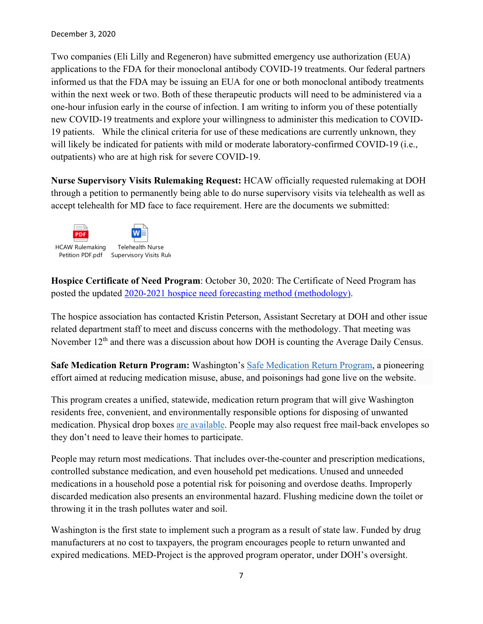#### December 3, 2020

Two companies (Eli Lilly and Regeneron) have submitted emergency use authorization (EUA) applications to the FDA for their monoclonal antibody COVID-19 treatments. Our federal partners informed us that the FDA may be issuing an EUA for one or both monoclonal antibody treatments within the next week or two. Both of these therapeutic products will need to be administered via a one-hour infusion early in the course of infection. I am writing to inform you of these potentially new COVID-19 treatments and explore your willingness to administer this medication to COVID-19 patients. While the clinical criteria for use of these medications are currently unknown, they will likely be indicated for patients with mild or moderate laboratory-confirmed COVID-19 (i.e., outpatients) who are at high risk for severe COVID-19.

**Nurse Supervisory Visits Rulemaking Request:** HCAW officially requested rulemaking at DOH through a petition to permanently being able to do nurse supervisory visits via telehealth as well as accept telehealth for MD face to face requirement. Here are the documents we submitted:



**Hospice Certificate of Need Program**: October 30, 2020: The Certificate of Need Program has posted the updated [2020-2021 hospice need forecasting method \(methodology\).](https://lnks.gd/l/eyJhbGciOiJIUzI1NiJ9.eyJidWxsZXRpbl9saW5rX2lkIjoxMDAsInVyaSI6ImJwMjpjbGljayIsImJ1bGxldGluX2lkIjoiMjAyMDEwMzAuMjk2NzczMzEiLCJ1cmwiOiJodHRwczovL2RvaGNycy5ib3guY29tL3MvMHpqeXNydmV4cGw3cXNqYXF6NGc5aHZlaTE2NmNsdHMifQ.nBWNsTIHHH9-1A-Deg_CNKMhdtou37O_A22diXL4w_I/s/717258116/br/87672390502-l)

The hospice association has contacted Kristin Peterson, Assistant Secretary at DOH and other issue related department staff to meet and discuss concerns with the methodology. That meeting was November 12<sup>th</sup> and there was a discussion about how DOH is counting the Average Daily Census.

**Safe Medication Return Program:** Washington's [Safe Medication Return Program,](https://lnks.gd/l/eyJhbGciOiJIUzI1NiJ9.eyJidWxsZXRpbl9saW5rX2lkIjoxMDEsInVyaSI6ImJwMjpjbGljayIsImJ1bGxldGluX2lkIjoiMjAyMDExMjEuMzA5MTcxOTEiLCJ1cmwiOiJodHRwczovL3d3dy5kb2gud2EuZ292L0ZvclB1YmxpY0hlYWx0aGFuZEhlYWx0aGNhcmVQcm92aWRlcnMvSGVhbHRoY2FyZVByb2Zlc3Npb25zYW5kRmFjaWxpdGllcy9TYWZlTWVkaWNhdGlvblJldHVyblByb2dyYW0ifQ.TYI-mzxB7Yes9OtNbRdBiQKrsqh4sAyx4Tb05vB71ww/s/717258116/br/90221130994-l) a pioneering effort aimed at reducing medication misuse, abuse, and poisonings had gone live on the website.

This program creates a unified, statewide, medication return program that will give Washington residents free, convenient, and environmentally responsible options for disposing of unwanted medication. Physical drop boxes [are available.](https://lnks.gd/l/eyJhbGciOiJIUzI1NiJ9.eyJidWxsZXRpbl9saW5rX2lkIjoxMDIsInVyaSI6ImJwMjpjbGljayIsImJ1bGxldGluX2lkIjoiMjAyMDExMjEuMzA5MTcxOTEiLCJ1cmwiOiJodHRwczovL21lZC1wcm9qZWN0Lm9yZy9sb2NhdGlvbnMvd2FzaGluZ3Rvbi9jb252ZW5pZW50LWxvY2F0aW9ucy8ifQ.jg-7ydmA15na2PRL71x2D6KCu-NsILlk9YR0T0RzSh4/s/717258116/br/90221130994-l) People may also request free mail-back envelopes so they don't need to leave their homes to participate.

People may return most medications. That includes over-the-counter and prescription medications, controlled substance medication, and even household pet medications. Unused and unneeded medications in a household pose a potential risk for poisoning and overdose deaths. Improperly discarded medication also presents an environmental hazard. Flushing medicine down the toilet or throwing it in the trash pollutes water and soil.

Washington is the first state to implement such a program as a result of state law. Funded by drug manufacturers at no cost to taxpayers, the program encourages people to return unwanted and expired medications. MED-Project is the approved program operator, under DOH's oversight.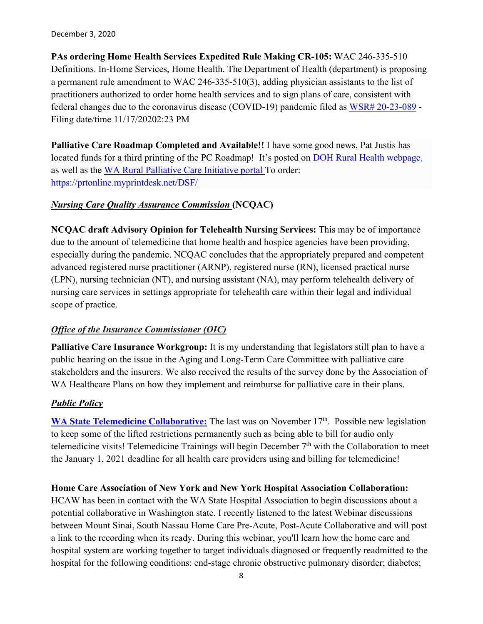#### December 3, 2020

**PAs ordering Home Health Services Expedited Rule Making CR-105:** WAC 246-335-510 Definitions. In-Home Services, Home Health. The Department of Health (department) is proposing a permanent rule amendment to WAC 246-335-510(3), adding physician assistants to the list of practitioners authorized to order home health services and to sign plans of care, consistent with federal changes due to the coronavirus disease (COVID-19) pandemic filed as [WSR# 20-23-089](https://lnks.gd/l/eyJhbGciOiJIUzI1NiJ9.eyJidWxsZXRpbl9saW5rX2lkIjoxMDIsInVyaSI6ImJwMjpjbGljayIsImJ1bGxldGluX2lkIjoiMjAyMDExMjEuMzA4OTM3NjEiLCJ1cmwiOiJodHRwczovL3d3dy5kb2gud2EuZ292L1BvcnRhbHMvMS9Eb2N1bWVudHMvMTEwMC8yMDIzL0NPVklEMTlfV1NSMjAyMzA4OUluaG9tZXNlcnZpY2VzZGVmaW5pdGlvbnNIU1FBZmluYWwtMjAyMDExMTgucGRmIn0.qlRgUHyYgBo2Nm3ZJtBCbC7yibimDOwNVoZ4YEBWBUs/s/717258116/br/90200593871-l) -Filing date/time 11/17/20202:23 PM

**Palliative Care Roadmap Completed and Available!!** I have some good news, Pat Justis has located funds for a third printing of the PC Roadmap! It's posted on [DOH Rural Health webpage,](https://www.doh.wa.gov/ForPublicHealthandHealthcareProviders/RuralHealth) as well as the [WA Rural Palliative Care Initiative portal T](https://waportal.org/partners/home/washington-rural-palliative-care-initiative)o order: <https://prtonline.myprintdesk.net/DSF/>

## *Nursing Care Quality Assurance Commission* **(NCQAC)**

**NCQAC draft Advisory Opinion for Telehealth Nursing Services:** This may be of importance due to the amount of telemedicine that home health and hospice agencies have been providing, especially during the pandemic. NCQAC concludes that the appropriately prepared and competent advanced registered nurse practitioner (ARNP), registered nurse (RN), licensed practical nurse (LPN), nursing technician (NT), and nursing assistant (NA), may perform telehealth delivery of nursing care services in settings appropriate for telehealth care within their legal and individual scope of practice.

## *Office of the Insurance Commissioner (OIC)*

**Palliative Care Insurance Workgroup:** It is my understanding that legislators still plan to have a public hearing on the issue in the Aging and Long-Term Care Committee with palliative care stakeholders and the insurers. We also received the results of the survey done by the Association of WA Healthcare Plans on how they implement and reimburse for palliative care in their plans.

## *Public Policy*

[WA State Telemedicine Collaborative:](https://www.wsha.org/policy-advocacy/issues/telemedicine/washington-state-telemedicine-collaborative/meetings-and-minutes/) The last was on November 17<sup>th</sup>. Possible new legislation to keep some of the lifted restrictions permanently such as being able to bill for audio only telemedicine visits! Telemedicine Trainings will begin December  $7<sup>th</sup>$  with the Collaboration to meet the January 1, 2021 deadline for all health care providers using and billing for telemedicine!

**Home Care Association of New York and New York Hospital Association Collaboration:**  HCAW has been in contact with the WA State Hospital Association to begin discussions about a potential collaborative in Washington state. I recently listened to the latest Webinar discussions between Mount Sinai, South Nassau Home Care Pre-Acute, Post-Acute Collaborative and will post a link to the recording when its ready. During this webinar, you'll learn how the home care and hospital system are working together to target individuals diagnosed or frequently readmitted to the hospital for the following conditions: end-stage chronic obstructive pulmonary disorder; diabetes;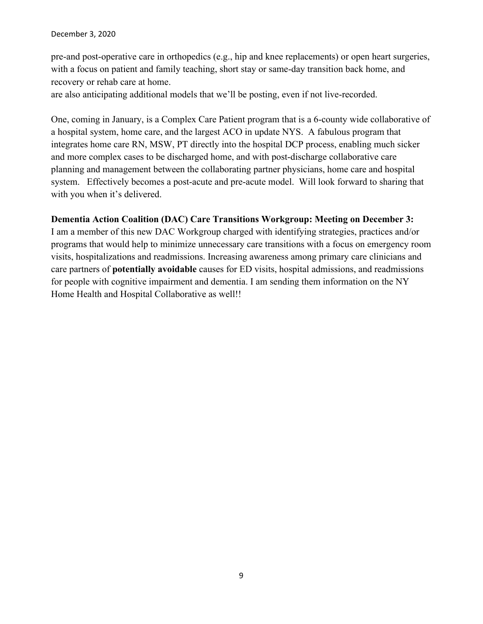pre-and post-operative care in orthopedics (e.g., hip and knee replacements) or open heart surgeries, with a focus on patient and family teaching, short stay or same-day transition back home, and recovery or rehab care at home.

are also anticipating additional models that we'll be posting, even if not live-recorded.

One, coming in January, is a Complex Care Patient program that is a 6-county wide collaborative of a hospital system, home care, and the largest ACO in update NYS. A fabulous program that integrates home care RN, MSW, PT directly into the hospital DCP process, enabling much sicker and more complex cases to be discharged home, and with post-discharge collaborative care planning and management between the collaborating partner physicians, home care and hospital system. Effectively becomes a post-acute and pre-acute model. Will look forward to sharing that with you when it's delivered.

## **Dementia Action Coalition (DAC) Care Transitions Workgroup: Meeting on December 3:**

I am a member of this new DAC Workgroup charged with identifying strategies, practices and/or programs that would help to minimize unnecessary care transitions with a focus on emergency room visits, hospitalizations and readmissions. Increasing awareness among primary care clinicians and care partners of **potentially avoidable** causes for ED visits, hospital admissions, and readmissions for people with cognitive impairment and dementia. I am sending them information on the NY Home Health and Hospital Collaborative as well!!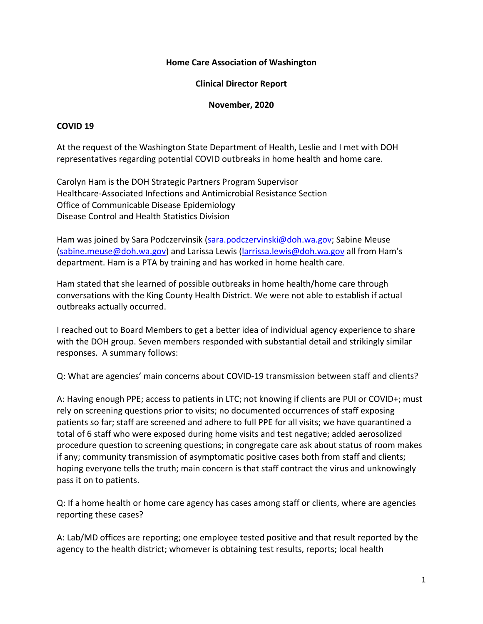## **Home Care Association of Washington**

## **Clinical Director Report**

#### **November, 2020**

## **COVID 19**

At the request of the Washington State Department of Health, Leslie and I met with DOH representatives regarding potential COVID outbreaks in home health and home care.

Carolyn Ham is the DOH Strategic Partners Program Supervisor Healthcare-Associated Infections and Antimicrobial Resistance Section Office of Communicable Disease Epidemiology Disease Control and Health Statistics Division

Ham was joined by Sara Podczervinsik [\(sara.podczervinski@doh.wa.gov;](mailto:sara.podczervinski@doh.wa.gov) Sabine Meuse [\(sabine.meuse@doh.wa.gov\)](mailto:sabine.meuse@doh.wa.gov) and Larissa Lewis [\(larrissa.lewis@doh.wa.gov](mailto:larrissa.lewis@doh.wa.gov) all from Ham's department. Ham is a PTA by training and has worked in home health care.

Ham stated that she learned of possible outbreaks in home health/home care through conversations with the King County Health District. We were not able to establish if actual outbreaks actually occurred.

I reached out to Board Members to get a better idea of individual agency experience to share with the DOH group. Seven members responded with substantial detail and strikingly similar responses. A summary follows:

Q: What are agencies' main concerns about COVID-19 transmission between staff and clients?

A: Having enough PPE; access to patients in LTC; not knowing if clients are PUI or COVID+; must rely on screening questions prior to visits; no documented occurrences of staff exposing patients so far; staff are screened and adhere to full PPE for all visits; we have quarantined a total of 6 staff who were exposed during home visits and test negative; added aerosolized procedure question to screening questions; in congregate care ask about status of room makes if any; community transmission of asymptomatic positive cases both from staff and clients; hoping everyone tells the truth; main concern is that staff contract the virus and unknowingly pass it on to patients.

Q: If a home health or home care agency has cases among staff or clients, where are agencies reporting these cases?

A: Lab/MD offices are reporting; one employee tested positive and that result reported by the agency to the health district; whomever is obtaining test results, reports; local health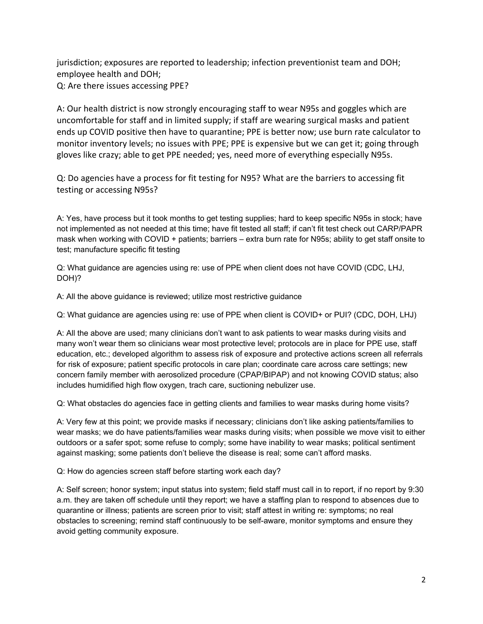jurisdiction; exposures are reported to leadership; infection preventionist team and DOH; employee health and DOH; Q: Are there issues accessing PPE?

A: Our health district is now strongly encouraging staff to wear N95s and goggles which are uncomfortable for staff and in limited supply; if staff are wearing surgical masks and patient ends up COVID positive then have to quarantine; PPE is better now; use burn rate calculator to monitor inventory levels; no issues with PPE; PPE is expensive but we can get it; going through gloves like crazy; able to get PPE needed; yes, need more of everything especially N95s.

Q: Do agencies have a process for fit testing for N95? What are the barriers to accessing fit testing or accessing N95s?

A: Yes, have process but it took months to get testing supplies; hard to keep specific N95s in stock; have not implemented as not needed at this time; have fit tested all staff; if can't fit test check out CARP/PAPR mask when working with COVID + patients; barriers – extra burn rate for N95s; ability to get staff onsite to test; manufacture specific fit testing

Q: What guidance are agencies using re: use of PPE when client does not have COVID (CDC, LHJ, DOH)?

A: All the above guidance is reviewed; utilize most restrictive guidance

Q: What guidance are agencies using re: use of PPE when client is COVID+ or PUI? (CDC, DOH, LHJ)

A: All the above are used; many clinicians don't want to ask patients to wear masks during visits and many won't wear them so clinicians wear most protective level; protocols are in place for PPE use, staff education, etc.; developed algorithm to assess risk of exposure and protective actions screen all referrals for risk of exposure; patient specific protocols in care plan; coordinate care across care settings; new concern family member with aerosolized procedure (CPAP/BIPAP) and not knowing COVID status; also includes humidified high flow oxygen, trach care, suctioning nebulizer use.

Q: What obstacles do agencies face in getting clients and families to wear masks during home visits?

A: Very few at this point; we provide masks if necessary; clinicians don't like asking patients/families to wear masks; we do have patients/families wear masks during visits; when possible we move visit to either outdoors or a safer spot; some refuse to comply; some have inability to wear masks; political sentiment against masking; some patients don't believe the disease is real; some can't afford masks.

Q: How do agencies screen staff before starting work each day?

A: Self screen; honor system; input status into system; field staff must call in to report, if no report by 9:30 a.m. they are taken off schedule until they report; we have a staffing plan to respond to absences due to quarantine or illness; patients are screen prior to visit; staff attest in writing re: symptoms; no real obstacles to screening; remind staff continuously to be self-aware, monitor symptoms and ensure they avoid getting community exposure.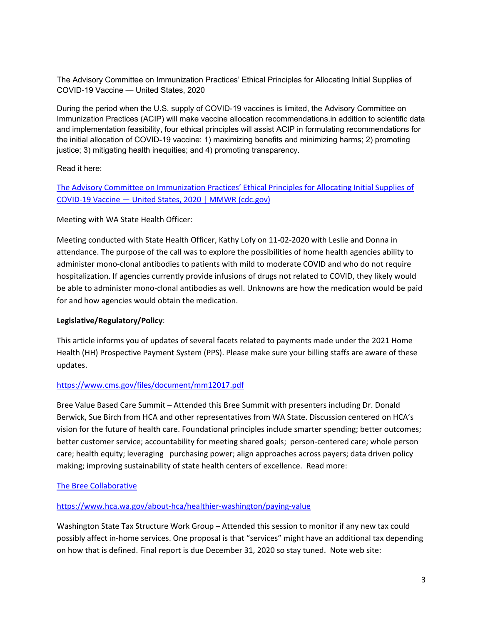The Advisory Committee on Immunization Practices' Ethical Principles for Allocating Initial Supplies of COVID-19 Vaccine — United States, 2020

During the period when the U.S. supply of COVID-19 vaccines is limited, the Advisory Committee on Immunization Practices (ACIP) will make vaccine allocation recommendations.in addition to scientific data and implementation feasibility, four ethical principles will assist ACIP in formulating recommendations for the initial allocation of COVID-19 vaccine: 1) maximizing benefits and minimizing harms; 2) promoting justice; 3) mitigating health inequities; and 4) promoting transparency.

Read it here:

[The Advisory Committee on Immunization Practices' Ethical Principles for Allocating Initial Supplies of](https://www.cdc.gov/mmwr/volumes/69/wr/mm6947e3.htm?s_cid=mm6947e3_w)  COVID-19 Vaccine — [United States, 2020 | MMWR \(cdc.gov\)](https://www.cdc.gov/mmwr/volumes/69/wr/mm6947e3.htm?s_cid=mm6947e3_w)

## Meeting with WA State Health Officer:

Meeting conducted with State Health Officer, Kathy Lofy on 11-02-2020 with Leslie and Donna in attendance. The purpose of the call was to explore the possibilities of home health agencies ability to administer mono-clonal antibodies to patients with mild to moderate COVID and who do not require hospitalization. If agencies currently provide infusions of drugs not related to COVID, they likely would be able to administer mono-clonal antibodies as well. Unknowns are how the medication would be paid for and how agencies would obtain the medication.

## **Legislative/Regulatory/Policy**:

This article informs you of updates of several facets related to payments made under the 2021 Home Health (HH) Prospective Payment System (PPS). Please make sure your billing staffs are aware of these updates.

## <https://www.cms.gov/files/document/mm12017.pdf>

Bree Value Based Care Summit – Attended this Bree Summit with presenters including Dr. Donald Berwick, Sue Birch from HCA and other representatives from WA State. Discussion centered on HCA's vision for the future of health care. Foundational principles include smarter spending; better outcomes; better customer service; accountability for meeting shared goals; person-centered care; whole person care; health equity; leveraging purchasing power; align approaches across payers; data driven policy making; improving sustainability of state health centers of excellence. Read more:

## [The Bree Collaborative](http://www.breecollaborative.org/)

#### <https://www.hca.wa.gov/about-hca/healthier-washington/paying-value>

Washington State Tax Structure Work Group – Attended this session to monitor if any new tax could possibly affect in-home services. One proposal is that "services" might have an additional tax depending on how that is defined. Final report is due December 31, 2020 so stay tuned. Note web site: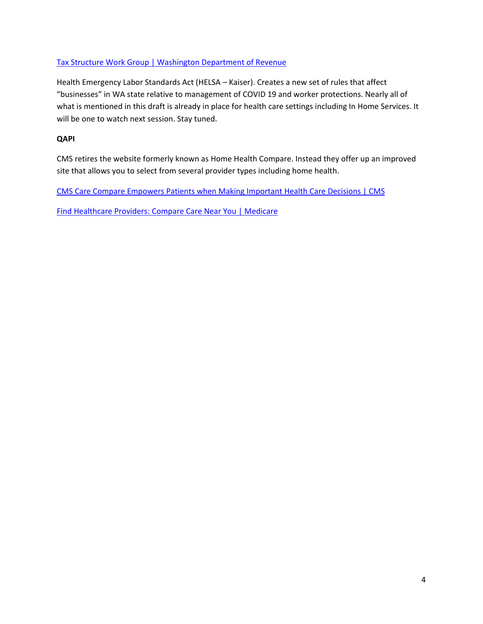## [Tax Structure Work Group | Washington Department of Revenue](https://dor.wa.gov/about/tax-structure-work-group)

Health Emergency Labor Standards Act (HELSA – Kaiser). Creates a new set of rules that affect "businesses" in WA state relative to management of COVID 19 and worker protections. Nearly all of what is mentioned in this draft is already in place for health care settings including In Home Services. It will be one to watch next session. Stay tuned.

#### **QAPI**

CMS retires the website formerly known as Home Health Compare. Instead they offer up an improved site that allows you to select from several provider types including home health.

CMS Care Compare Empowers Patients when [Making Important Health Care Decisions | CMS](https://www.cms.gov/newsroom/press-releases/cms-care-compare-empowers-patients-when-making-important-health-care-decisions)

[Find Healthcare Providers: Compare Care Near You | Medicare](https://www.medicare.gov/care-compare/)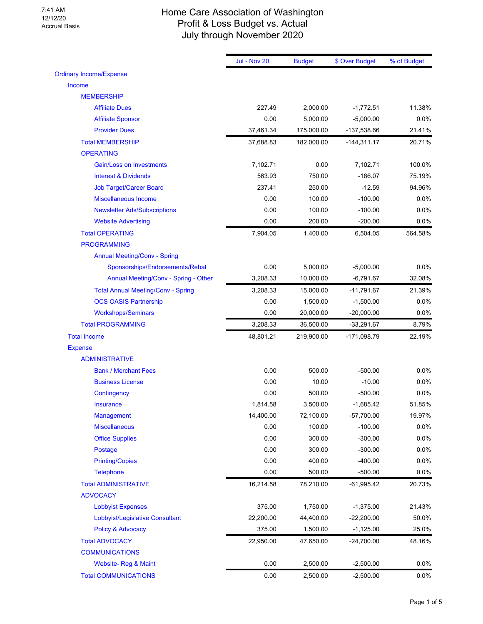#### 7:41 AM 12/12/20 Accrual Basis

## Home Care Association of Washington Profit & Loss Budget vs. Actual July through November 2020

|                                           | <b>Jul - Nov 20</b> | <b>Budget</b> | \$ Over Budget | % of Budget |
|-------------------------------------------|---------------------|---------------|----------------|-------------|
| <b>Ordinary Income/Expense</b>            |                     |               |                |             |
| Income                                    |                     |               |                |             |
| <b>MEMBERSHIP</b>                         |                     |               |                |             |
| <b>Affiliate Dues</b>                     | 227.49              | 2,000.00      | $-1,772.51$    | 11.38%      |
| <b>Affiliate Sponsor</b>                  | 0.00                | 5,000.00      | $-5,000.00$    | 0.0%        |
| <b>Provider Dues</b>                      | 37,461.34           | 175,000.00    | -137,538.66    | 21.41%      |
| <b>Total MEMBERSHIP</b>                   | 37,688.83           | 182,000.00    | $-144,311.17$  | 20.71%      |
| <b>OPERATING</b>                          |                     |               |                |             |
| <b>Gain/Loss on Investments</b>           | 7,102.71            | 0.00          | 7,102.71       | 100.0%      |
| <b>Interest &amp; Dividends</b>           | 563.93              | 750.00        | $-186.07$      | 75.19%      |
| <b>Job Target/Career Board</b>            | 237.41              | 250.00        | $-12.59$       | 94.96%      |
| <b>Miscellaneous Income</b>               | 0.00                | 100.00        | $-100.00$      | 0.0%        |
| <b>Newsletter Ads/Subscriptions</b>       | 0.00                | 100.00        | $-100.00$      | 0.0%        |
| <b>Website Advertising</b>                | 0.00                | 200.00        | $-200.00$      | 0.0%        |
| <b>Total OPERATING</b>                    | 7,904.05            | 1,400.00      | 6,504.05       | 564.58%     |
| <b>PROGRAMMING</b>                        |                     |               |                |             |
| <b>Annual Meeting/Conv - Spring</b>       |                     |               |                |             |
| Sponsorships/Endorsements/Rebat           | 0.00                | 5,000.00      | $-5,000.00$    | 0.0%        |
| Annual Meeting/Conv - Spring - Other      | 3,208.33            | 10,000.00     | $-6,791.67$    | 32.08%      |
| <b>Total Annual Meeting/Conv - Spring</b> | 3,208.33            | 15,000.00     | $-11,791.67$   | 21.39%      |
| <b>OCS OASIS Partnership</b>              | 0.00                | 1,500.00      | $-1,500.00$    | 0.0%        |
| <b>Workshops/Seminars</b>                 | 0.00                | 20,000.00     | $-20,000.00$   | 0.0%        |
| <b>Total PROGRAMMING</b>                  | 3,208.33            | 36,500.00     | $-33,291.67$   | 8.79%       |
| <b>Total Income</b>                       | 48,801.21           | 219,900.00    | -171,098.79    | 22.19%      |
| <b>Expense</b>                            |                     |               |                |             |
| <b>ADMINISTRATIVE</b>                     |                     |               |                |             |
| <b>Bank / Merchant Fees</b>               | 0.00                | 500.00        | $-500.00$      | 0.0%        |
| <b>Business License</b>                   | 0.00                | 10.00         | $-10.00$       | 0.0%        |
| Contingency                               | 0.00                | 500.00        | $-500.00$      | 0.0%        |
| <b>Insurance</b>                          | 1,814.58            | 3,500.00      | $-1,685.42$    | 51.85%      |
| Management                                | 14,400.00           | 72,100.00     | -57,700.00     | 19.97%      |
| <b>Miscellaneous</b>                      | 0.00                | 100.00        | $-100.00$      | 0.0%        |
| <b>Office Supplies</b>                    | 0.00                | 300.00        | $-300.00$      | 0.0%        |
| Postage                                   | 0.00                | 300.00        | $-300.00$      | 0.0%        |
| <b>Printing/Copies</b>                    | 0.00                | 400.00        | $-400.00$      | 0.0%        |
| <b>Telephone</b>                          | 0.00                | 500.00        | $-500.00$      | 0.0%        |
| <b>Total ADMINISTRATIVE</b>               | 16,214.58           | 78,210.00     | $-61,995.42$   | 20.73%      |
| <b>ADVOCACY</b>                           |                     |               |                |             |
| <b>Lobbyist Expenses</b>                  | 375.00              | 1,750.00      | $-1,375.00$    | 21.43%      |
| Lobbyist/Legislative Consultant           | 22,200.00           | 44,400.00     | $-22,200.00$   | 50.0%       |
| <b>Policy &amp; Advocacy</b>              | 375.00              | 1,500.00      | $-1,125.00$    | 25.0%       |
| <b>Total ADVOCACY</b>                     | 22,950.00           | 47,650.00     | $-24,700.00$   | 48.16%      |
| <b>COMMUNICATIONS</b>                     |                     |               |                |             |
| Website- Reg & Maint                      | 0.00                | 2,500.00      | $-2,500.00$    | 0.0%        |
| <b>Total COMMUNICATIONS</b>               | 0.00                | 2,500.00      | $-2,500.00$    | 0.0%        |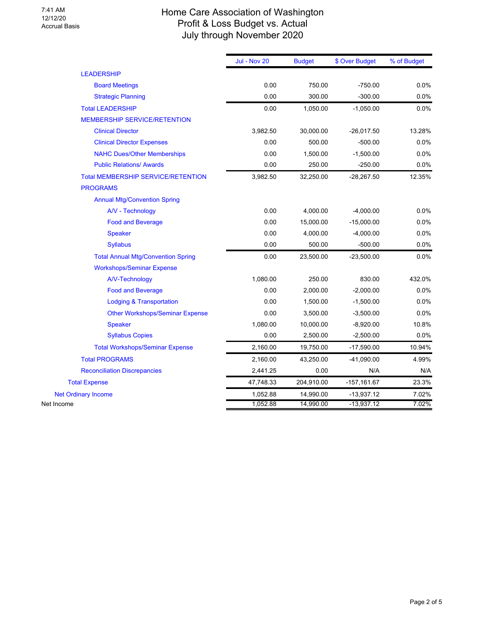## Home Care Association of Washington Profit & Loss Budget vs. Actual July through November 2020

|            |                                           | <b>Jul - Nov 20</b> | <b>Budget</b> | \$ Over Budget | % of Budget |
|------------|-------------------------------------------|---------------------|---------------|----------------|-------------|
|            | <b>LEADERSHIP</b>                         |                     |               |                |             |
|            | <b>Board Meetings</b>                     | 0.00                | 750.00        | $-750.00$      | 0.0%        |
|            | <b>Strategic Planning</b>                 | 0.00                | 300.00        | $-300.00$      | 0.0%        |
|            | <b>Total LEADERSHIP</b>                   | 0.00                | 1,050.00      | $-1,050.00$    | 0.0%        |
|            | <b>MEMBERSHIP SERVICE/RETENTION</b>       |                     |               |                |             |
|            | <b>Clinical Director</b>                  | 3,982.50            | 30,000.00     | $-26,017.50$   | 13.28%      |
|            | <b>Clinical Director Expenses</b>         | 0.00                | 500.00        | $-500.00$      | 0.0%        |
|            | <b>NAHC Dues/Other Memberships</b>        | 0.00                | 1,500.00      | $-1,500.00$    | 0.0%        |
|            | <b>Public Relations/ Awards</b>           | 0.00                | 250.00        | $-250.00$      | 0.0%        |
|            | <b>Total MEMBERSHIP SERVICE/RETENTION</b> | 3,982.50            | 32,250.00     | $-28,267.50$   | 12.35%      |
|            | <b>PROGRAMS</b>                           |                     |               |                |             |
|            | <b>Annual Mtg/Convention Spring</b>       |                     |               |                |             |
|            | A/V - Technology                          | 0.00                | 4,000.00      | $-4,000.00$    | 0.0%        |
|            | <b>Food and Beverage</b>                  | 0.00                | 15,000.00     | $-15,000.00$   | 0.0%        |
|            | <b>Speaker</b>                            | 0.00                | 4,000.00      | $-4,000.00$    | 0.0%        |
|            | <b>Syllabus</b>                           | 0.00                | 500.00        | $-500.00$      | 0.0%        |
|            | <b>Total Annual Mtg/Convention Spring</b> | 0.00                | 23,500.00     | $-23,500.00$   | 0.0%        |
|            | <b>Workshops/Seminar Expense</b>          |                     |               |                |             |
|            | A/V-Technology                            | 1,080.00            | 250.00        | 830.00         | 432.0%      |
|            | <b>Food and Beverage</b>                  | 0.00                | 2,000.00      | $-2,000.00$    | 0.0%        |
|            | <b>Lodging &amp; Transportation</b>       | 0.00                | 1,500.00      | $-1,500.00$    | 0.0%        |
|            | <b>Other Workshops/Seminar Expense</b>    | 0.00                | 3,500.00      | $-3,500.00$    | 0.0%        |
|            | <b>Speaker</b>                            | 1,080.00            | 10,000.00     | $-8,920.00$    | 10.8%       |
|            | <b>Syllabus Copies</b>                    | 0.00                | 2,500.00      | $-2,500.00$    | 0.0%        |
|            | <b>Total Workshops/Seminar Expense</b>    | 2,160.00            | 19,750.00     | $-17,590.00$   | 10.94%      |
|            | <b>Total PROGRAMS</b>                     | 2,160.00            | 43,250.00     | $-41,090.00$   | 4.99%       |
|            | <b>Reconciliation Discrepancies</b>       | 2,441.25            | 0.00          | N/A            | N/A         |
|            | <b>Total Expense</b>                      | 47,748.33           | 204,910.00    | $-157, 161.67$ | 23.3%       |
|            | <b>Net Ordinary Income</b>                | 1,052.88            | 14,990.00     | $-13,937.12$   | 7.02%       |
| Net Income |                                           | 1,052.88            | 14,990.00     | $-13,937.12$   | 7.02%       |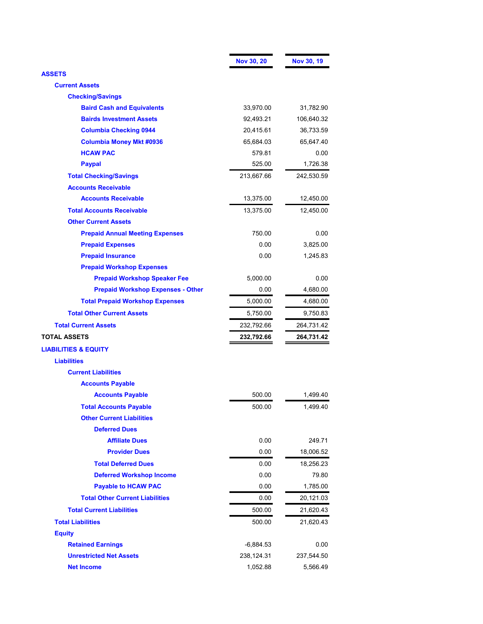|                                          | <b>Nov 30, 20</b> | Nov 30, 19 |
|------------------------------------------|-------------------|------------|
| <b>ASSETS</b>                            |                   |            |
| <b>Current Assets</b>                    |                   |            |
| <b>Checking/Savings</b>                  |                   |            |
| <b>Baird Cash and Equivalents</b>        | 33,970.00         | 31,782.90  |
| <b>Bairds Investment Assets</b>          | 92,493.21         | 106,640.32 |
| <b>Columbia Checking 0944</b>            | 20,415.61         | 36,733.59  |
| <b>Columbia Money Mkt #0936</b>          | 65,684.03         | 65,647.40  |
| <b>HCAW PAC</b>                          | 579.81            | 0.00       |
| <b>Paypal</b>                            | 525.00            | 1,726.38   |
| <b>Total Checking/Savings</b>            | 213,667.66        | 242,530.59 |
| <b>Accounts Receivable</b>               |                   |            |
| <b>Accounts Receivable</b>               | 13,375.00         | 12,450.00  |
| <b>Total Accounts Receivable</b>         | 13,375.00         | 12,450.00  |
| <b>Other Current Assets</b>              |                   |            |
| <b>Prepaid Annual Meeting Expenses</b>   | 750.00            | 0.00       |
| <b>Prepaid Expenses</b>                  | 0.00              | 3,825.00   |
| <b>Prepaid Insurance</b>                 | 0.00              | 1,245.83   |
| <b>Prepaid Workshop Expenses</b>         |                   |            |
| <b>Prepaid Workshop Speaker Fee</b>      | 5,000.00          | $0.00\,$   |
| <b>Prepaid Workshop Expenses - Other</b> | 0.00              | 4,680.00   |
| <b>Total Prepaid Workshop Expenses</b>   | 5,000.00          | 4,680.00   |
| <b>Total Other Current Assets</b>        | 5,750.00          | 9,750.83   |
| <b>Total Current Assets</b>              | 232,792.66        | 264,731.42 |
| <b>TOTAL ASSETS</b>                      | 232,792.66        | 264,731.42 |
| <b>LIABILITIES &amp; EQUITY</b>          |                   |            |
| <b>Liabilities</b>                       |                   |            |
| <b>Current Liabilities</b>               |                   |            |
| <b>Accounts Payable</b>                  |                   |            |
| <b>Accounts Payable</b>                  | 500.00            | 1,499.40   |
| <b>Total Accounts Payable</b>            | 500.00            | 1,499.40   |
| <b>Other Current Liabilities</b>         |                   |            |
| <b>Deferred Dues</b>                     |                   |            |
| <b>Affiliate Dues</b>                    | 0.00              | 249.71     |
| <b>Provider Dues</b>                     | 0.00              | 18,006.52  |
| <b>Total Deferred Dues</b>               | 0.00              | 18,256.23  |
| <b>Deferred Workshop Income</b>          | 0.00              | 79.80      |
| <b>Payable to HCAW PAC</b>               | 0.00              | 1,785.00   |
| <b>Total Other Current Liabilities</b>   | 0.00              | 20,121.03  |
| <b>Total Current Liabilities</b>         | 500.00            | 21,620.43  |
| <b>Total Liabilities</b>                 | 500.00            | 21,620.43  |
| <b>Equity</b>                            |                   |            |
| <b>Retained Earnings</b>                 | $-6,884.53$       | 0.00       |
| <b>Unrestricted Net Assets</b>           | 238,124.31        | 237,544.50 |
| <b>Net Income</b>                        | 1,052.88          | 5,566.49   |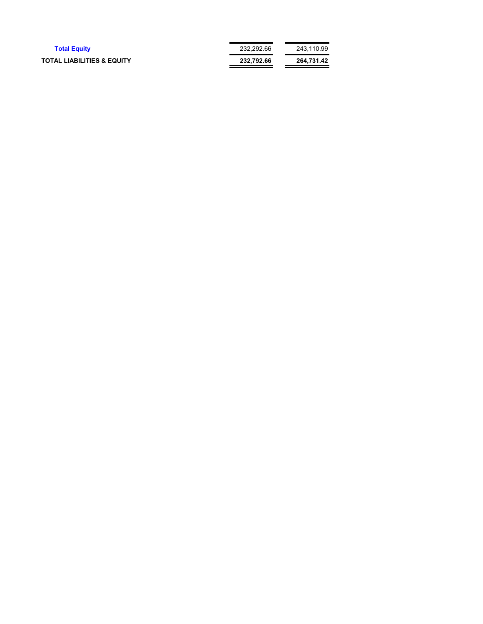| <b>Total Equity</b>                   | 232.292.66 | 243.110.99 |
|---------------------------------------|------------|------------|
| <b>TOTAL LIABILITIES &amp; EQUITY</b> | 232.792.66 | 264.731.42 |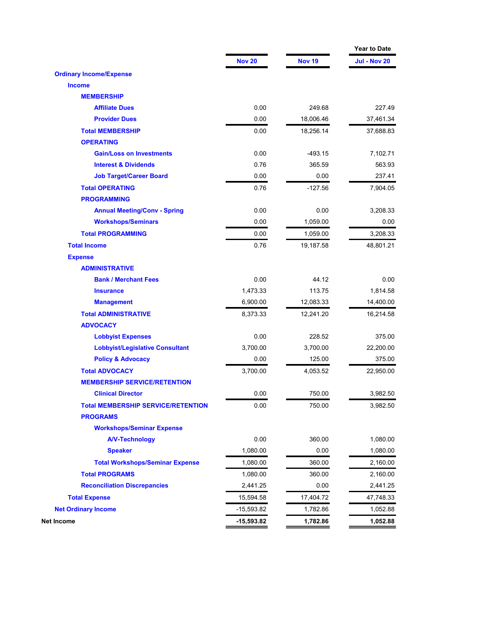|                                           |               |               | <b>Year to Date</b> |
|-------------------------------------------|---------------|---------------|---------------------|
|                                           | <b>Nov 20</b> | <b>Nov 19</b> | <b>Jul - Nov 20</b> |
| <b>Ordinary Income/Expense</b>            |               |               |                     |
| <b>Income</b>                             |               |               |                     |
| <b>MEMBERSHIP</b>                         |               |               |                     |
| <b>Affiliate Dues</b>                     | 0.00          | 249.68        | 227.49              |
| <b>Provider Dues</b>                      | 0.00          | 18,006.46     | 37,461.34           |
| <b>Total MEMBERSHIP</b>                   | 0.00          | 18,256.14     | 37,688.83           |
| <b>OPERATING</b>                          |               |               |                     |
| <b>Gain/Loss on Investments</b>           | 0.00          | $-493.15$     | 7,102.71            |
| <b>Interest &amp; Dividends</b>           | 0.76          | 365.59        | 563.93              |
| <b>Job Target/Career Board</b>            | 0.00          | 0.00          | 237.41              |
| <b>Total OPERATING</b>                    | 0.76          | $-127.56$     | 7,904.05            |
| <b>PROGRAMMING</b>                        |               |               |                     |
| <b>Annual Meeting/Conv - Spring</b>       | 0.00          | 0.00          | 3,208.33            |
| <b>Workshops/Seminars</b>                 | 0.00          | 1,059.00      | 0.00                |
| <b>Total PROGRAMMING</b>                  | 0.00          | 1,059.00      | 3,208.33            |
| <b>Total Income</b>                       | 0.76          | 19,187.58     | 48,801.21           |
| <b>Expense</b>                            |               |               |                     |
| <b>ADMINISTRATIVE</b>                     |               |               |                     |
| <b>Bank / Merchant Fees</b>               | 0.00          | 44.12         | 0.00                |
| <b>Insurance</b>                          | 1,473.33      | 113.75        | 1,814.58            |
| <b>Management</b>                         | 6,900.00      | 12,083.33     | 14,400.00           |
| <b>Total ADMINISTRATIVE</b>               | 8,373.33      | 12,241.20     | 16,214.58           |
| <b>ADVOCACY</b>                           |               |               |                     |
| <b>Lobbyist Expenses</b>                  | 0.00          | 228.52        | 375.00              |
| <b>Lobbyist/Legislative Consultant</b>    | 3,700.00      | 3,700.00      | 22,200.00           |
| <b>Policy &amp; Advocacy</b>              | 0.00          | 125.00        | 375.00              |
| <b>Total ADVOCACY</b>                     | 3,700.00      | 4,053.52      | 22,950.00           |
| <b>MEMBERSHIP SERVICE/RETENTION</b>       |               |               |                     |
| <b>Clinical Director</b>                  | 0.00          | 750.00        | 3,982.50            |
| <b>Total MEMBERSHIP SERVICE/RETENTION</b> | 0.00          | 750.00        | 3,982.50            |
| <b>PROGRAMS</b>                           |               |               |                     |
| <b>Workshops/Seminar Expense</b>          |               |               |                     |
| <b>A/V-Technology</b>                     | 0.00          | 360.00        | 1,080.00            |
| <b>Speaker</b>                            | 1,080.00      | 0.00          | 1,080.00            |
| <b>Total Workshops/Seminar Expense</b>    | 1,080.00      | 360.00        | 2,160.00            |
| <b>Total PROGRAMS</b>                     | 1,080.00      | 360.00        | 2,160.00            |
| <b>Reconciliation Discrepancies</b>       | 2,441.25      | 0.00          | 2,441.25            |
| <b>Total Expense</b>                      | 15,594.58     | 17,404.72     | 47,748.33           |
| <b>Net Ordinary Income</b>                | -15,593.82    | 1,782.86      | 1,052.88            |
| Net Income                                | -15,593.82    | 1,782.86      | 1,052.88            |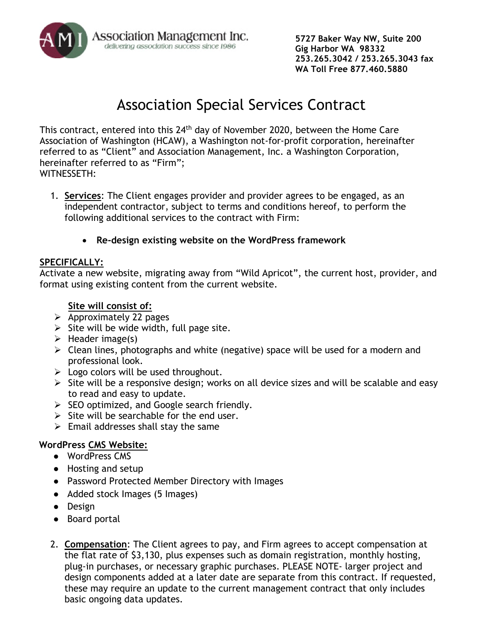

**5727 Baker Way NW, Suite 200 Gig Harbor WA 98332 253.265.3042 / 253.265.3043 fax WA Toll Free 877.460.5880**

# Association Special Services Contract

This contract, entered into this 24<sup>th</sup> day of November 2020, between the Home Care Association of Washington (HCAW), a Washington not-for-profit corporation, hereinafter referred to as "Client" and Association Management, Inc. a Washington Corporation, hereinafter referred to as "Firm"; WITNESSETH:

- 1. **Services**: The Client engages provider and provider agrees to be engaged, as an independent contractor, subject to terms and conditions hereof, to perform the following additional services to the contract with Firm:
	- **Re-design existing website on the WordPress framework**

## **SPECIFICALLY:**

Activate a new website, migrating away from "Wild Apricot", the current host, provider, and format using existing content from the current website.

## **Site will consist of:**

- $\triangleright$  Approximately 22 pages
- $\triangleright$  Site will be wide width, full page site.
- $\triangleright$  Header image(s)
- $\triangleright$  Clean lines, photographs and white (negative) space will be used for a modern and professional look.
- $\triangleright$  Logo colors will be used throughout.
- $\triangleright$  Site will be a responsive design; works on all device sizes and will be scalable and easy to read and easy to update.
- $\triangleright$  SEO optimized, and Google search friendly.
- $\triangleright$  Site will be searchable for the end user.
- $\triangleright$  Email addresses shall stay the same

## **WordPress CMS Website:**

- WordPress CMS
- Hosting and setup
- Password Protected Member Directory with Images
- Added stock Images (5 Images)
- Design
- Board portal
- 2. **Compensation**: The Client agrees to pay, and Firm agrees to accept compensation at the flat rate of \$3,130, plus expenses such as domain registration, monthly hosting, plug-in purchases, or necessary graphic purchases. PLEASE NOTE- larger project and design components added at a later date are separate from this contract. If requested, these may require an update to the current management contract that only includes basic ongoing data updates.